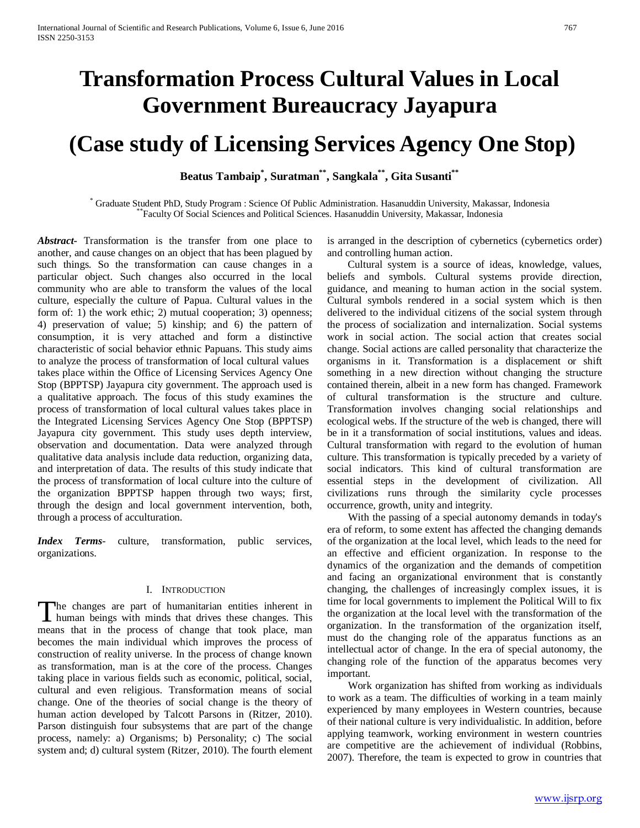# **Transformation Process Cultural Values in Local Government Bureaucracy Jayapura**

## **(Case study of Licensing Services Agency One Stop)**

**Beatus Tambaip\* , Suratman\*\*, Sangkala\*\*, Gita Susanti\*\***

\* Graduate Student PhD, Study Program : Science Of Public Administration. Hasanuddin University, Makassar, Indonesia \*\*Faculty Of Social Sciences and Political Sciences. Hasanuddin University, Makassar, Indonesia

*Abstract***-** Transformation is the transfer from one place to another, and cause changes on an object that has been plagued by such things. So the transformation can cause changes in a particular object. Such changes also occurred in the local community who are able to transform the values of the local culture, especially the culture of Papua. Cultural values in the form of: 1) the work ethic; 2) mutual cooperation; 3) openness; 4) preservation of value; 5) kinship; and 6) the pattern of consumption, it is very attached and form a distinctive characteristic of social behavior ethnic Papuans. This study aims to analyze the process of transformation of local cultural values takes place within the Office of Licensing Services Agency One Stop (BPPTSP) Jayapura city government. The approach used is a qualitative approach. The focus of this study examines the process of transformation of local cultural values takes place in the Integrated Licensing Services Agency One Stop (BPPTSP) Jayapura city government. This study uses depth interview, observation and documentation. Data were analyzed through qualitative data analysis include data reduction, organizing data, and interpretation of data. The results of this study indicate that the process of transformation of local culture into the culture of the organization BPPTSP happen through two ways; first, through the design and local government intervention, both, through a process of acculturation.

*Index Terms*- culture, transformation, public services, organizations.

## I. INTRODUCTION

The changes are part of humanitarian entities inherent in The changes are part of humanitarian entities inherent in human beings with minds that drives these changes. This means that in the process of change that took place, man becomes the main individual which improves the process of construction of reality universe. In the process of change known as transformation, man is at the core of the process. Changes taking place in various fields such as economic, political, social, cultural and even religious. Transformation means of social change. One of the theories of social change is the theory of human action developed by Talcott Parsons in (Ritzer, 2010). Parson distinguish four subsystems that are part of the change process, namely: a) Organisms; b) Personality; c) The social system and; d) cultural system (Ritzer, 2010). The fourth element

is arranged in the description of cybernetics (cybernetics order) and controlling human action.

 Cultural system is a source of ideas, knowledge, values, beliefs and symbols. Cultural systems provide direction, guidance, and meaning to human action in the social system. Cultural symbols rendered in a social system which is then delivered to the individual citizens of the social system through the process of socialization and internalization. Social systems work in social action. The social action that creates social change. Social actions are called personality that characterize the organisms in it. Transformation is a displacement or shift something in a new direction without changing the structure contained therein, albeit in a new form has changed. Framework of cultural transformation is the structure and culture. Transformation involves changing social relationships and ecological webs. If the structure of the web is changed, there will be in it a transformation of social institutions, values and ideas. Cultural transformation with regard to the evolution of human culture. This transformation is typically preceded by a variety of social indicators. This kind of cultural transformation are essential steps in the development of civilization. All civilizations runs through the similarity cycle processes occurrence, growth, unity and integrity.

 With the passing of a special autonomy demands in today's era of reform, to some extent has affected the changing demands of the organization at the local level, which leads to the need for an effective and efficient organization. In response to the dynamics of the organization and the demands of competition and facing an organizational environment that is constantly changing, the challenges of increasingly complex issues, it is time for local governments to implement the Political Will to fix the organization at the local level with the transformation of the organization. In the transformation of the organization itself, must do the changing role of the apparatus functions as an intellectual actor of change. In the era of special autonomy, the changing role of the function of the apparatus becomes very important.

 Work organization has shifted from working as individuals to work as a team. The difficulties of working in a team mainly experienced by many employees in Western countries, because of their national culture is very individualistic. In addition, before applying teamwork, working environment in western countries are competitive are the achievement of individual (Robbins, 2007). Therefore, the team is expected to grow in countries that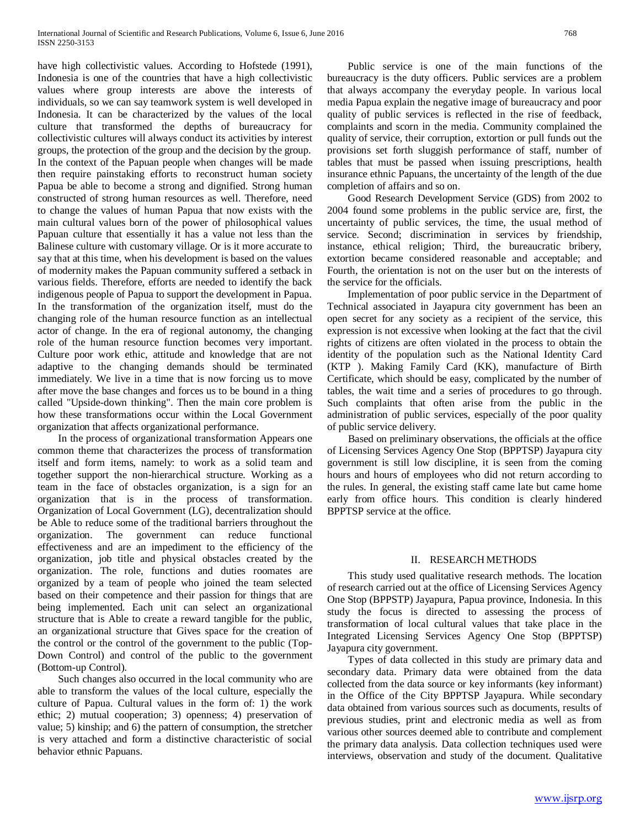have high collectivistic values. According to Hofstede (1991), Indonesia is one of the countries that have a high collectivistic values where group interests are above the interests of individuals, so we can say teamwork system is well developed in Indonesia. It can be characterized by the values of the local culture that transformed the depths of bureaucracy for collectivistic cultures will always conduct its activities by interest groups, the protection of the group and the decision by the group. In the context of the Papuan people when changes will be made then require painstaking efforts to reconstruct human society Papua be able to become a strong and dignified. Strong human constructed of strong human resources as well. Therefore, need to change the values of human Papua that now exists with the main cultural values born of the power of philosophical values Papuan culture that essentially it has a value not less than the Balinese culture with customary village. Or is it more accurate to say that at this time, when his development is based on the values of modernity makes the Papuan community suffered a setback in various fields. Therefore, efforts are needed to identify the back indigenous people of Papua to support the development in Papua. In the transformation of the organization itself, must do the changing role of the human resource function as an intellectual actor of change. In the era of regional autonomy, the changing role of the human resource function becomes very important. Culture poor work ethic, attitude and knowledge that are not adaptive to the changing demands should be terminated immediately. We live in a time that is now forcing us to move after move the base changes and forces us to be bound in a thing called "Upside-down thinking". Then the main core problem is how these transformations occur within the Local Government organization that affects organizational performance.

 In the process of organizational transformation Appears one common theme that characterizes the process of transformation itself and form items, namely: to work as a solid team and together support the non-hierarchical structure. Working as a team in the face of obstacles organization, is a sign for an organization that is in the process of transformation. Organization of Local Government (LG), decentralization should be Able to reduce some of the traditional barriers throughout the organization. The government can reduce functional effectiveness and are an impediment to the efficiency of the organization, job title and physical obstacles created by the organization. The role, functions and duties roomates are organized by a team of people who joined the team selected based on their competence and their passion for things that are being implemented. Each unit can select an organizational structure that is Able to create a reward tangible for the public, an organizational structure that Gives space for the creation of the control or the control of the government to the public (Top-Down Control) and control of the public to the government (Bottom-up Control).

 Such changes also occurred in the local community who are able to transform the values of the local culture, especially the culture of Papua. Cultural values in the form of: 1) the work ethic; 2) mutual cooperation; 3) openness; 4) preservation of value; 5) kinship; and 6) the pattern of consumption, the stretcher is very attached and form a distinctive characteristic of social behavior ethnic Papuans.

 Public service is one of the main functions of the bureaucracy is the duty officers. Public services are a problem that always accompany the everyday people. In various local media Papua explain the negative image of bureaucracy and poor quality of public services is reflected in the rise of feedback, complaints and scorn in the media. Community complained the quality of service, their corruption, extortion or pull funds out the provisions set forth sluggish performance of staff, number of tables that must be passed when issuing prescriptions, health insurance ethnic Papuans, the uncertainty of the length of the due completion of affairs and so on.

 Good Research Development Service (GDS) from 2002 to 2004 found some problems in the public service are, first, the uncertainty of public services, the time, the usual method of service. Second; discrimination in services by friendship, instance, ethical religion; Third, the bureaucratic bribery, extortion became considered reasonable and acceptable; and Fourth, the orientation is not on the user but on the interests of the service for the officials.

 Implementation of poor public service in the Department of Technical associated in Jayapura city government has been an open secret for any society as a recipient of the service, this expression is not excessive when looking at the fact that the civil rights of citizens are often violated in the process to obtain the identity of the population such as the National Identity Card (KTP ). Making Family Card (KK), manufacture of Birth Certificate, which should be easy, complicated by the number of tables, the wait time and a series of procedures to go through. Such complaints that often arise from the public in the administration of public services, especially of the poor quality of public service delivery.

 Based on preliminary observations, the officials at the office of Licensing Services Agency One Stop (BPPTSP) Jayapura city government is still low discipline, it is seen from the coming hours and hours of employees who did not return according to the rules. In general, the existing staff came late but came home early from office hours. This condition is clearly hindered BPPTSP service at the office.

## II. RESEARCH METHODS

 This study used qualitative research methods. The location of research carried out at the office of Licensing Services Agency One Stop (BPPSTP) Jayapura, Papua province, Indonesia. In this study the focus is directed to assessing the process of transformation of local cultural values that take place in the Integrated Licensing Services Agency One Stop (BPPTSP) Jayapura city government.

 Types of data collected in this study are primary data and secondary data. Primary data were obtained from the data collected from the data source or key informants (key informant) in the Office of the City BPPTSP Jayapura. While secondary data obtained from various sources such as documents, results of previous studies, print and electronic media as well as from various other sources deemed able to contribute and complement the primary data analysis. Data collection techniques used were interviews, observation and study of the document. Qualitative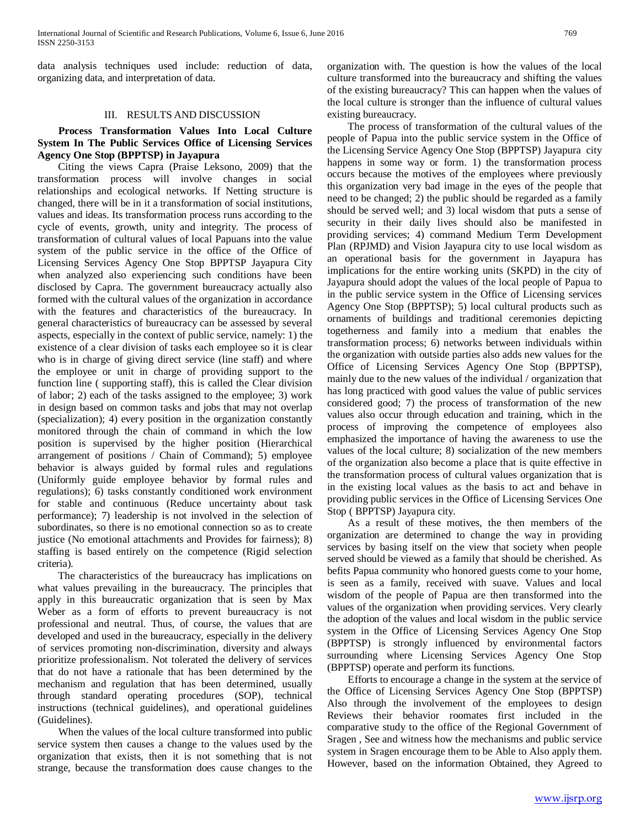data analysis techniques used include: reduction of data, organizing data, and interpretation of data.

## III. RESULTS AND DISCUSSION

## **Process Transformation Values Into Local Culture System In The Public Services Office of Licensing Services Agency One Stop (BPPTSP) in Jayapura**

 Citing the views Capra (Praise Leksono, 2009) that the transformation process will involve changes in social relationships and ecological networks. If Netting structure is changed, there will be in it a transformation of social institutions, values and ideas. Its transformation process runs according to the cycle of events, growth, unity and integrity. The process of transformation of cultural values of local Papuans into the value system of the public service in the office of the Office of Licensing Services Agency One Stop BPPTSP Jayapura City when analyzed also experiencing such conditions have been disclosed by Capra. The government bureaucracy actually also formed with the cultural values of the organization in accordance with the features and characteristics of the bureaucracy. In general characteristics of bureaucracy can be assessed by several aspects, especially in the context of public service, namely: 1) the existence of a clear division of tasks each employee so it is clear who is in charge of giving direct service (line staff) and where the employee or unit in charge of providing support to the function line ( supporting staff), this is called the Clear division of labor; 2) each of the tasks assigned to the employee; 3) work in design based on common tasks and jobs that may not overlap (specialization); 4) every position in the organization constantly monitored through the chain of command in which the low position is supervised by the higher position (Hierarchical arrangement of positions / Chain of Command); 5) employee behavior is always guided by formal rules and regulations (Uniformly guide employee behavior by formal rules and regulations); 6) tasks constantly conditioned work environment for stable and continuous (Reduce uncertainty about task performance); 7) leadership is not involved in the selection of subordinates, so there is no emotional connection so as to create justice (No emotional attachments and Provides for fairness); 8) staffing is based entirely on the competence (Rigid selection criteria).

 The characteristics of the bureaucracy has implications on what values prevailing in the bureaucracy. The principles that apply in this bureaucratic organization that is seen by Max Weber as a form of efforts to prevent bureaucracy is not professional and neutral. Thus, of course, the values that are developed and used in the bureaucracy, especially in the delivery of services promoting non-discrimination, diversity and always prioritize professionalism. Not tolerated the delivery of services that do not have a rationale that has been determined by the mechanism and regulation that has been determined, usually through standard operating procedures (SOP), technical instructions (technical guidelines), and operational guidelines (Guidelines).

 When the values of the local culture transformed into public service system then causes a change to the values used by the organization that exists, then it is not something that is not strange, because the transformation does cause changes to the organization with. The question is how the values of the local culture transformed into the bureaucracy and shifting the values of the existing bureaucracy? This can happen when the values of the local culture is stronger than the influence of cultural values existing bureaucracy.

 The process of transformation of the cultural values of the people of Papua into the public service system in the Office of the Licensing Service Agency One Stop (BPPTSP) Jayapura city happens in some way or form. 1) the transformation process occurs because the motives of the employees where previously this organization very bad image in the eyes of the people that need to be changed; 2) the public should be regarded as a family should be served well; and 3) local wisdom that puts a sense of security in their daily lives should also be manifested in providing services; 4) command Medium Term Development Plan (RPJMD) and Vision Jayapura city to use local wisdom as an operational basis for the government in Jayapura has implications for the entire working units (SKPD) in the city of Jayapura should adopt the values of the local people of Papua to in the public service system in the Office of Licensing services Agency One Stop (BPPTSP); 5) local cultural products such as ornaments of buildings and traditional ceremonies depicting togetherness and family into a medium that enables the transformation process; 6) networks between individuals within the organization with outside parties also adds new values for the Office of Licensing Services Agency One Stop (BPPTSP), mainly due to the new values of the individual / organization that has long practiced with good values the value of public services considered good; 7) the process of transformation of the new values also occur through education and training, which in the process of improving the competence of employees also emphasized the importance of having the awareness to use the values of the local culture; 8) socialization of the new members of the organization also become a place that is quite effective in the transformation process of cultural values organization that is in the existing local values as the basis to act and behave in providing public services in the Office of Licensing Services One Stop ( BPPTSP) Jayapura city.

 As a result of these motives, the then members of the organization are determined to change the way in providing services by basing itself on the view that society when people served should be viewed as a family that should be cherished. As befits Papua community who honored guests come to your home, is seen as a family, received with suave. Values and local wisdom of the people of Papua are then transformed into the values of the organization when providing services. Very clearly the adoption of the values and local wisdom in the public service system in the Office of Licensing Services Agency One Stop (BPPTSP) is strongly influenced by environmental factors surrounding where Licensing Services Agency One Stop (BPPTSP) operate and perform its functions.

 Efforts to encourage a change in the system at the service of the Office of Licensing Services Agency One Stop (BPPTSP) Also through the involvement of the employees to design Reviews their behavior roomates first included in the comparative study to the office of the Regional Government of Sragen , See and witness how the mechanisms and public service system in Sragen encourage them to be Able to Also apply them. However, based on the information Obtained, they Agreed to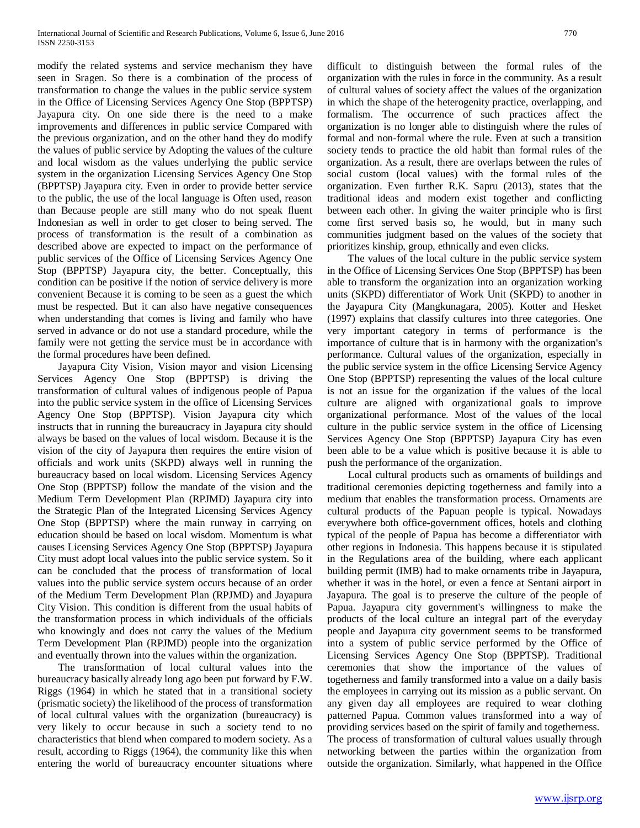modify the related systems and service mechanism they have seen in Sragen. So there is a combination of the process of transformation to change the values in the public service system in the Office of Licensing Services Agency One Stop (BPPTSP) Jayapura city. On one side there is the need to a make improvements and differences in public service Compared with the previous organization, and on the other hand they do modify the values of public service by Adopting the values of the culture and local wisdom as the values underlying the public service system in the organization Licensing Services Agency One Stop (BPPTSP) Jayapura city. Even in order to provide better service to the public, the use of the local language is Often used, reason than Because people are still many who do not speak fluent Indonesian as well in order to get closer to being served. The process of transformation is the result of a combination as described above are expected to impact on the performance of public services of the Office of Licensing Services Agency One Stop (BPPTSP) Jayapura city, the better. Conceptually, this condition can be positive if the notion of service delivery is more convenient Because it is coming to be seen as a guest the which must be respected. But it can also have negative consequences when understanding that comes is living and family who have served in advance or do not use a standard procedure, while the family were not getting the service must be in accordance with the formal procedures have been defined.

 Jayapura City Vision, Vision mayor and vision Licensing Services Agency One Stop (BPPTSP) is driving the transformation of cultural values of indigenous people of Papua into the public service system in the office of Licensing Services Agency One Stop (BPPTSP). Vision Jayapura city which instructs that in running the bureaucracy in Jayapura city should always be based on the values of local wisdom. Because it is the vision of the city of Jayapura then requires the entire vision of officials and work units (SKPD) always well in running the bureaucracy based on local wisdom. Licensing Services Agency One Stop (BPPTSP) follow the mandate of the vision and the Medium Term Development Plan (RPJMD) Jayapura city into the Strategic Plan of the Integrated Licensing Services Agency One Stop (BPPTSP) where the main runway in carrying on education should be based on local wisdom. Momentum is what causes Licensing Services Agency One Stop (BPPTSP) Jayapura City must adopt local values into the public service system. So it can be concluded that the process of transformation of local values into the public service system occurs because of an order of the Medium Term Development Plan (RPJMD) and Jayapura City Vision. This condition is different from the usual habits of the transformation process in which individuals of the officials who knowingly and does not carry the values of the Medium Term Development Plan (RPJMD) people into the organization and eventually thrown into the values within the organization.

 The transformation of local cultural values into the bureaucracy basically already long ago been put forward by F.W. Riggs (1964) in which he stated that in a transitional society (prismatic society) the likelihood of the process of transformation of local cultural values with the organization (bureaucracy) is very likely to occur because in such a society tend to no characteristics that blend when compared to modern society. As a result, according to Riggs (1964), the community like this when entering the world of bureaucracy encounter situations where difficult to distinguish between the formal rules of the organization with the rules in force in the community. As a result of cultural values of society affect the values of the organization in which the shape of the heterogenity practice, overlapping, and formalism. The occurrence of such practices affect the organization is no longer able to distinguish where the rules of formal and non-formal where the rule. Even at such a transition society tends to practice the old habit than formal rules of the organization. As a result, there are overlaps between the rules of social custom (local values) with the formal rules of the organization. Even further R.K. Sapru (2013), states that the traditional ideas and modern exist together and conflicting between each other. In giving the waiter principle who is first come first served basis so, he would, but in many such communities judgment based on the values of the society that prioritizes kinship, group, ethnically and even clicks.

 The values of the local culture in the public service system in the Office of Licensing Services One Stop (BPPTSP) has been able to transform the organization into an organization working units (SKPD) differentiator of Work Unit (SKPD) to another in the Jayapura City (Mangkunagara, 2005). Kotter and Hesket (1997) explains that classify cultures into three categories. One very important category in terms of performance is the importance of culture that is in harmony with the organization's performance. Cultural values of the organization, especially in the public service system in the office Licensing Service Agency One Stop (BPPTSP) representing the values of the local culture is not an issue for the organization if the values of the local culture are aligned with organizational goals to improve organizational performance. Most of the values of the local culture in the public service system in the office of Licensing Services Agency One Stop (BPPTSP) Jayapura City has even been able to be a value which is positive because it is able to push the performance of the organization.

 Local cultural products such as ornaments of buildings and traditional ceremonies depicting togetherness and family into a medium that enables the transformation process. Ornaments are cultural products of the Papuan people is typical. Nowadays everywhere both office-government offices, hotels and clothing typical of the people of Papua has become a differentiator with other regions in Indonesia. This happens because it is stipulated in the Regulations area of the building, where each applicant building permit (IMB) had to make ornaments tribe in Jayapura, whether it was in the hotel, or even a fence at Sentani airport in Jayapura. The goal is to preserve the culture of the people of Papua. Jayapura city government's willingness to make the products of the local culture an integral part of the everyday people and Jayapura city government seems to be transformed into a system of public service performed by the Office of Licensing Services Agency One Stop (BPPTSP). Traditional ceremonies that show the importance of the values of togetherness and family transformed into a value on a daily basis the employees in carrying out its mission as a public servant. On any given day all employees are required to wear clothing patterned Papua. Common values transformed into a way of providing services based on the spirit of family and togetherness. The process of transformation of cultural values usually through networking between the parties within the organization from outside the organization. Similarly, what happened in the Office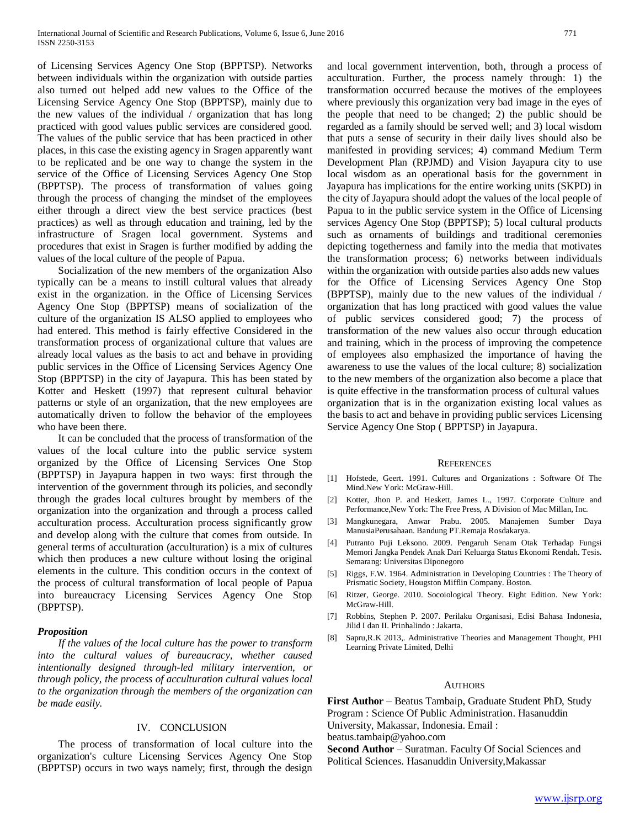of Licensing Services Agency One Stop (BPPTSP). Networks between individuals within the organization with outside parties also turned out helped add new values to the Office of the Licensing Service Agency One Stop (BPPTSP), mainly due to the new values of the individual / organization that has long practiced with good values public services are considered good. The values of the public service that has been practiced in other places, in this case the existing agency in Sragen apparently want to be replicated and be one way to change the system in the service of the Office of Licensing Services Agency One Stop (BPPTSP). The process of transformation of values going through the process of changing the mindset of the employees either through a direct view the best service practices (best practices) as well as through education and training, led by the infrastructure of Sragen local government. Systems and procedures that exist in Sragen is further modified by adding the values of the local culture of the people of Papua.

 Socialization of the new members of the organization Also typically can be a means to instill cultural values that already exist in the organization. in the Office of Licensing Services Agency One Stop (BPPTSP) means of socialization of the culture of the organization IS ALSO applied to employees who had entered. This method is fairly effective Considered in the transformation process of organizational culture that values are already local values as the basis to act and behave in providing public services in the Office of Licensing Services Agency One Stop (BPPTSP) in the city of Jayapura. This has been stated by Kotter and Heskett (1997) that represent cultural behavior patterns or style of an organization, that the new employees are automatically driven to follow the behavior of the employees who have been there.

 It can be concluded that the process of transformation of the values of the local culture into the public service system organized by the Office of Licensing Services One Stop (BPPTSP) in Jayapura happen in two ways: first through the intervention of the government through its policies, and secondly through the grades local cultures brought by members of the organization into the organization and through a process called acculturation process. Acculturation process significantly grow and develop along with the culture that comes from outside. In general terms of acculturation (acculturation) is a mix of cultures which then produces a new culture without losing the original elements in the culture. This condition occurs in the context of the process of cultural transformation of local people of Papua into bureaucracy Licensing Services Agency One Stop (BPPTSP).

## *Proposition*

 *If the values of the local culture has the power to transform into the cultural values of bureaucracy, whether caused intentionally designed through-led military intervention, or through policy, the process of acculturation cultural values local to the organization through the members of the organization can be made easily.*

## IV. CONCLUSION

 The process of transformation of local culture into the organization's culture Licensing Services Agency One Stop (BPPTSP) occurs in two ways namely; first, through the design and local government intervention, both, through a process of acculturation. Further, the process namely through: 1) the transformation occurred because the motives of the employees where previously this organization very bad image in the eyes of the people that need to be changed; 2) the public should be regarded as a family should be served well; and 3) local wisdom that puts a sense of security in their daily lives should also be manifested in providing services; 4) command Medium Term Development Plan (RPJMD) and Vision Jayapura city to use local wisdom as an operational basis for the government in Jayapura has implications for the entire working units (SKPD) in the city of Jayapura should adopt the values of the local people of Papua to in the public service system in the Office of Licensing services Agency One Stop (BPPTSP); 5) local cultural products such as ornaments of buildings and traditional ceremonies depicting togetherness and family into the media that motivates the transformation process; 6) networks between individuals within the organization with outside parties also adds new values for the Office of Licensing Services Agency One Stop (BPPTSP), mainly due to the new values of the individual / organization that has long practiced with good values the value of public services considered good; 7) the process of transformation of the new values also occur through education and training, which in the process of improving the competence of employees also emphasized the importance of having the awareness to use the values of the local culture; 8) socialization to the new members of the organization also become a place that is quite effective in the transformation process of cultural values organization that is in the organization existing local values as the basis to act and behave in providing public services Licensing Service Agency One Stop ( BPPTSP) in Jayapura.

#### **REFERENCES**

- [1] Hofstede, Geert. 1991. Cultures and Organizations : Software Of The Mind.New York: McGraw-Hill.
- [2] Kotter, Jhon P. and Heskett, James L., 1997. Corporate Culture and Performance,New York: The Free Press, A Division of Mac Millan, Inc.
- [3] Mangkunegara, Anwar Prabu. 2005. Manajemen Sumber Daya ManusiaPerusahaan. Bandung PT.Remaja Rosdakarya.
- [4] Putranto Puji Leksono. 2009. Pengaruh Senam Otak Terhadap Fungsi Memori Jangka Pendek Anak Dari Keluarga Status Ekonomi Rendah. Tesis. Semarang: Universitas Diponegoro
- [5] Riggs, F.W. 1964. Administration in Developing Countries : The Theory of Prismatic Society, Hougston Mifflin Company. Boston.
- [6] Ritzer, George. 2010. Socoiological Theory. Eight Edition. New York: McGraw-Hill.
- [7] Robbins, Stephen P. 2007. Perilaku Organisasi, Edisi Bahasa Indonesia, Jilid I dan II. Prinhalindo : Jakarta.
- [8] Sapru,R.K 2013,. Administrative Theories and Management Thought, PHI Learning Private Limited, Delhi

## AUTHORS

**First Author** – Beatus Tambaip, Graduate Student PhD, Study Program : Science Of Public Administration. Hasanuddin University, Makassar, Indonesia. Email : beatus.tambaip@yahoo.com

**Second Author** – Suratman. Faculty Of Social Sciences and Political Sciences. Hasanuddin University,Makassar